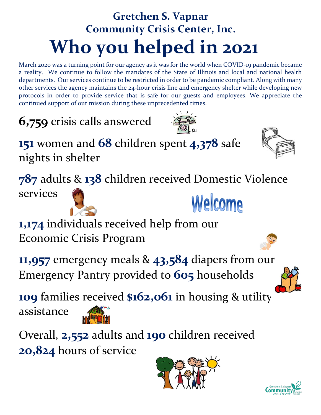# **Gretchen S. Vapnar Community Crisis Center, Inc. Who you helped in 2021**

March 2020 was a turning point for our agency as it was for the world when COVID-19 pandemic became a reality. We continue to follow the mandates of the State of Illinois and local and national health departments. Our services continue to be restricted in order to be pandemic compliant. Along with many other services the agency maintains the 24-hour crisis line and emergency shelter while developing new protocols in order to provide service that is safe for our guests and employees. We appreciate the continued support of our mission during these unprecedented times.

**6,759** crisis calls answered



**151** women and **68** children spent **4,378** safe nights in shelter

**787** adults & **138** children received Domestic Violence







**1,174** individuals received help from our Economic Crisis Program

**11,957** emergency meals & **43,584** diapers from our Emergency Pantry provided to **605** households

**109** families received **\$162,061** in housing & utility assistance



Overall, **2,552** adults and **190** children received **20,824** hours of service









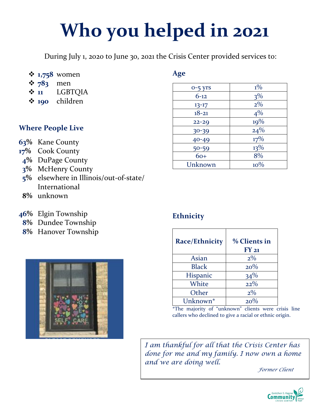# **Who you helped in 2021**

During July 1, 2020 to June 30, 2021 the Crisis Center provided services to:

- ❖ **1,758** women
- ❖ **783** men
- ❖ **11** LGBTQIA
- ❖ **190** children

### **Where People Live**

- **63%** Kane County
- **17%** Cook County
- **4%** DuPage County
- **3%** McHenry County
- **5%** elsewhere in Illinois/out-of-state/ International
- **8%** unknown
- **46%** Elgin Township
- **8%** Dundee Township
- **8%** Hanover Township



#### **Age**

| $0-5$ yrs | $1\%$  |
|-----------|--------|
| $6 - 12$  | $3\%$  |
| $13 - 17$ | $2\%$  |
| $18 - 21$ | $4\%$  |
| $22 - 29$ | 19%    |
| $30 - 39$ | 24%    |
| 40-49     | $17\%$ |
| 50-59     | 13%    |
| $60+$     | 8%     |
| Unknown   | $10\%$ |

## **Ethnicity**

| <b>Race/Ethnicity</b> | % Clients in<br>$FY$ <sub>21</sub> |
|-----------------------|------------------------------------|
| Asian                 | $2\%$                              |
| <b>Black</b>          | 20%                                |
| Hispanic              |                                    |
| White                 | 22%                                |
| Other                 | $2\%$                              |
| Unknown*              |                                    |

\*The majority of "unknown" clients were crisis line callers who declined to give a racial or ethnic origin.

*I am thankful for all that the Crisis Center has done for me and my family. I now own a home and we are doing well.*

*Former Client*

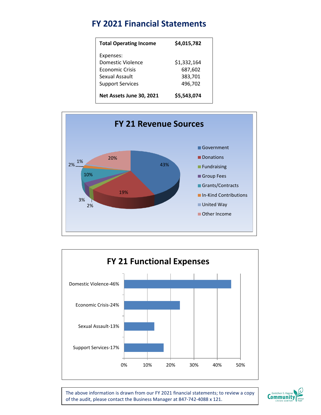# **FY 2021 Financial Statements**

| <b>Total Operating Income</b> | \$4,015,782 |
|-------------------------------|-------------|
| Expenses:                     |             |
| Domestic Violence             | \$1,332,164 |
| Economic Crisis               | 687,602     |
| Sexual Assault                | 383,701     |
| <b>Support Services</b>       | 496,702     |
| Net Assets June 30, 2021      | \$5,543,074 |





The above information is drawn from our FY 2021 financial statements; to review a copy of the audit, please contact the Business Manager at 847-742-4088 x 121.